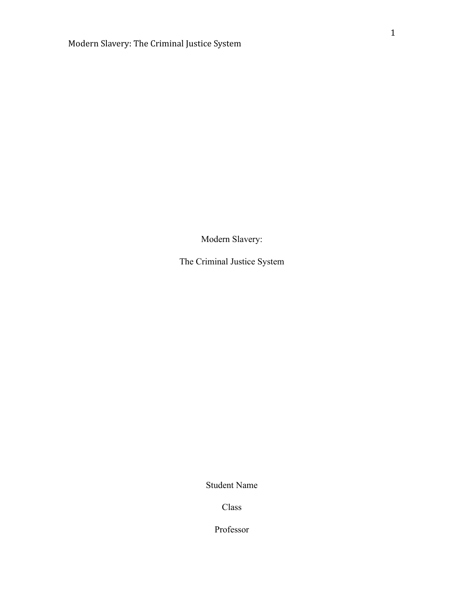Modern Slavery:

The Criminal Justice System

Student Name

Class

Professor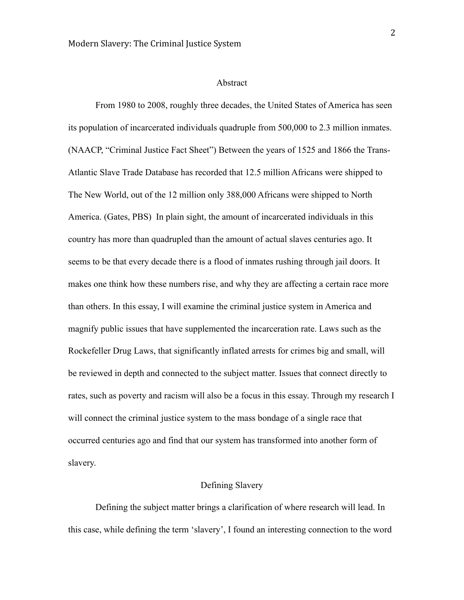#### Abstract

From 1980 to 2008, roughly three decades, the United States of America has seen its population of incarcerated individuals quadruple from 500,000 to 2.3 million inmates. (NAACP, "Criminal Justice Fact Sheet") Between the years of 1525 and 1866 the Trans-Atlantic Slave Trade Database has recorded that 12.5 million Africans were shipped to The New World, out of the 12 million only 388,000 Africans were shipped to North America. (Gates, PBS) In plain sight, the amount of incarcerated individuals in this country has more than quadrupled than the amount of actual slaves centuries ago. It seems to be that every decade there is a flood of inmates rushing through jail doors. It makes one think how these numbers rise, and why they are affecting a certain race more than others. In this essay, I will examine the criminal justice system in America and magnify public issues that have supplemented the incarceration rate. Laws such as the Rockefeller Drug Laws, that significantly inflated arrests for crimes big and small, will be reviewed in depth and connected to the subject matter. Issues that connect directly to rates, such as poverty and racism will also be a focus in this essay. Through my research I will connect the criminal justice system to the mass bondage of a single race that occurred centuries ago and find that our system has transformed into another form of slavery.

# Defining Slavery

Defining the subject matter brings a clarification of where research will lead. In this case, while defining the term 'slavery', I found an interesting connection to the word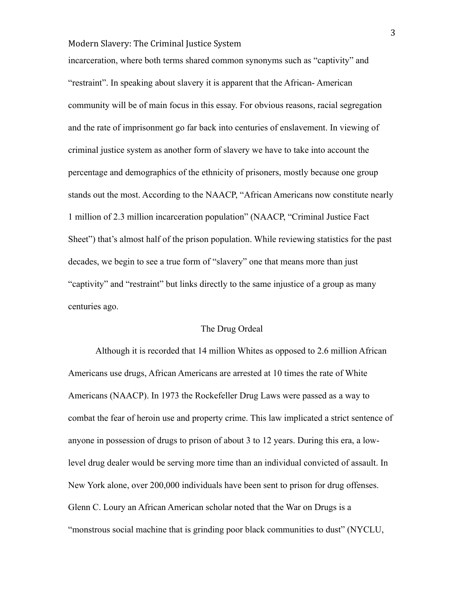incarceration, where both terms shared common synonyms such as "captivity" and "restraint". In speaking about slavery it is apparent that the African- American community will be of main focus in this essay. For obvious reasons, racial segregation and the rate of imprisonment go far back into centuries of enslavement. In viewing of criminal justice system as another form of slavery we have to take into account the percentage and demographics of the ethnicity of prisoners, mostly because one group stands out the most. According to the NAACP, "African Americans now constitute nearly 1 million of 2.3 million incarceration population" (NAACP, "Criminal Justice Fact Sheet") that's almost half of the prison population. While reviewing statistics for the past decades, we begin to see a true form of "slavery" one that means more than just "captivity" and "restraint" but links directly to the same injustice of a group as many centuries ago.

#### The Drug Ordeal

Although it is recorded that 14 million Whites as opposed to 2.6 million African Americans use drugs, African Americans are arrested at 10 times the rate of White Americans (NAACP). In 1973 the Rockefeller Drug Laws were passed as a way to combat the fear of heroin use and property crime. This law implicated a strict sentence of anyone in possession of drugs to prison of about 3 to 12 years. During this era, a lowlevel drug dealer would be serving more time than an individual convicted of assault. In New York alone, over 200,000 individuals have been sent to prison for drug offenses. Glenn C. Loury an African American scholar noted that the War on Drugs is a "monstrous social machine that is grinding poor black communities to dust" (NYCLU,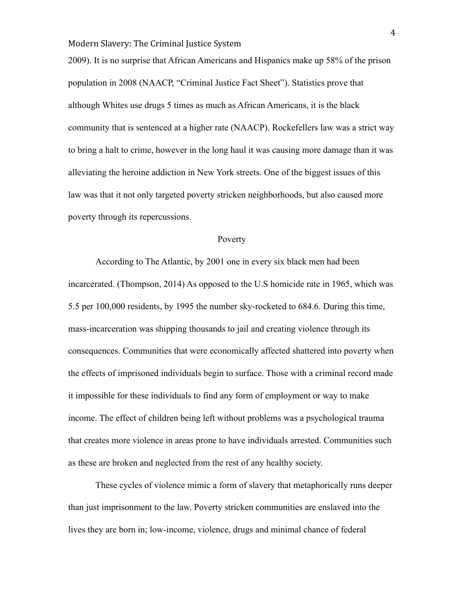2009). It is no surprise that African Americans and Hispanics make up 58% of the prison population in 2008 (NAACP, "Criminal Justice Fact Sheet"). Statistics prove that although Whites use drugs 5 times as much as African Americans, it is the black community that is sentenced at a higher rate (NAACP). Rockefellers law was a strict way to bring a halt to crime, however in the long haul it was causing more damage than it was alleviating the heroine addiction in New York streets. One of the biggest issues of this law was that it not only targeted poverty stricken neighborhoods, but also caused more poverty through its repercussions.

#### Poverty

According to The Atlantic, by 2001 one in every six black men had been incarcerated. (Thompson, 2014) As opposed to the U.S homicide rate in 1965, which was 5.5 per 100,000 residents, by 1995 the number sky-rocketed to 684.6. During this time, mass-incarceration was shipping thousands to jail and creating violence through its consequences. Communities that were economically affected shattered into poverty when the effects of imprisoned individuals begin to surface. Those with a criminal record made it impossible for these individuals to find any form of employment or way to make income. The effect of children being left without problems was a psychological trauma that creates more violence in areas prone to have individuals arrested. Communities such as these are broken and neglected from the rest of any healthy society.

These cycles of violence mimic a form of slavery that metaphorically runs deeper than just imprisonment to the law. Poverty stricken communities are enslaved into the lives they are born in; low-income, violence, drugs and minimal chance of federal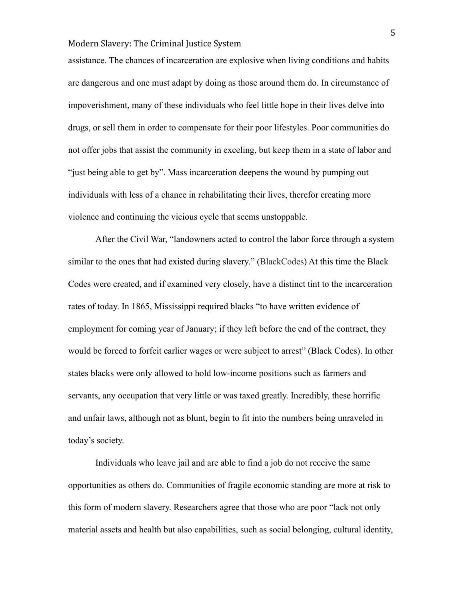assistance. The chances of incarceration are explosive when living conditions and habits are dangerous and one must adapt by doing as those around them do. In circumstance of impoverishment, many of these individuals who feel little hope in their lives delve into drugs, or sell them in order to compensate for their poor lifestyles. Poor communities do not offer jobs that assist the community in exceling, but keep them in a state of labor and "just being able to get by". Mass incarceration deepens the wound by pumping out individuals with less of a chance in rehabilitating their lives, therefor creating more violence and continuing the vicious cycle that seems unstoppable.

After the Civil War, "landowners acted to control the labor force through a system similar to the ones that had existed during slavery." (BlackCodes) At this time the Black Codes were created, and if examined very closely, have a distinct tint to the incarceration rates of today. In 1865, Mississippi required blacks "to have written evidence of employment for coming year of January; if they left before the end of the contract, they would be forced to forfeit earlier wages or were subject to arrest" (Black Codes). In other states blacks were only allowed to hold low-income positions such as farmers and servants, any occupation that very little or was taxed greatly. Incredibly, these horrific and unfair laws, although not as blunt, begin to fit into the numbers being unraveled in today's society.

Individuals who leave jail and are able to find a job do not receive the same opportunities as others do. Communities of fragile economic standing are more at risk to this form of modern slavery. Researchers agree that those who are poor "lack not only material assets and health but also capabilities, such as social belonging, cultural identity,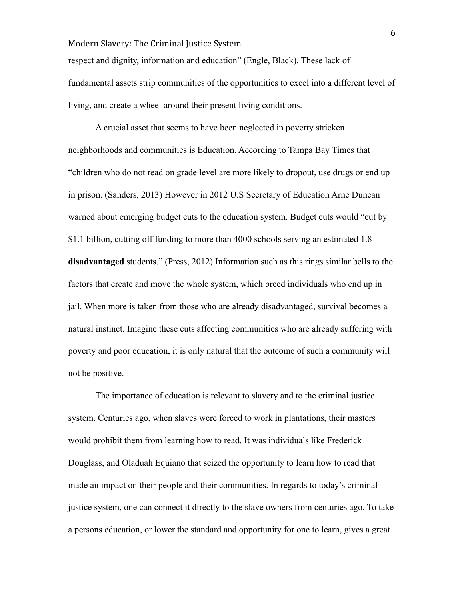respect and dignity, information and education" (Engle, Black). These lack of fundamental assets strip communities of the opportunities to excel into a different level of living, and create a wheel around their present living conditions.

A crucial asset that seems to have been neglected in poverty stricken neighborhoods and communities is Education. According to Tampa Bay Times that "children who do not read on grade level are more likely to dropout, use drugs or end up in prison. (Sanders, 2013) However in 2012 U.S Secretary of Education Arne Duncan warned about emerging budget cuts to the education system. Budget cuts would "cut by \$1.1 billion, cutting off funding to more than 4000 schools serving an estimated 1.8 **disadvantaged** students." (Press, 2012) Information such as this rings similar bells to the factors that create and move the whole system, which breed individuals who end up in jail. When more is taken from those who are already disadvantaged, survival becomes a natural instinct. Imagine these cuts affecting communities who are already suffering with poverty and poor education, it is only natural that the outcome of such a community will not be positive.

The importance of education is relevant to slavery and to the criminal justice system. Centuries ago, when slaves were forced to work in plantations, their masters would prohibit them from learning how to read. It was individuals like Frederick Douglass, and Oladuah Equiano that seized the opportunity to learn how to read that made an impact on their people and their communities. In regards to today's criminal justice system, one can connect it directly to the slave owners from centuries ago. To take a persons education, or lower the standard and opportunity for one to learn, gives a great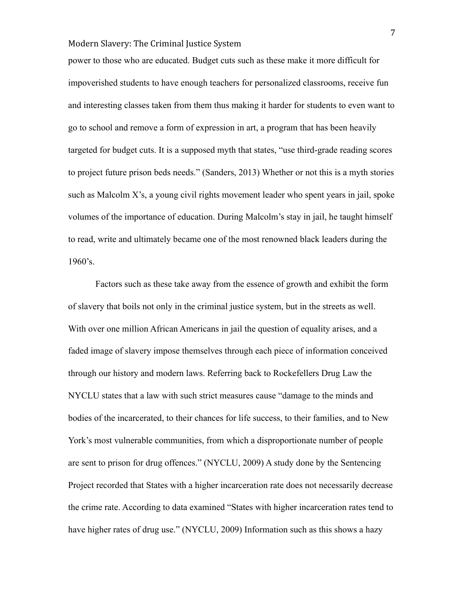power to those who are educated. Budget cuts such as these make it more difficult for impoverished students to have enough teachers for personalized classrooms, receive fun and interesting classes taken from them thus making it harder for students to even want to go to school and remove a form of expression in art, a program that has been heavily targeted for budget cuts. It is a supposed myth that states, "use third-grade reading scores to project future prison beds needs." (Sanders, 2013) Whether or not this is a myth stories such as Malcolm X's, a young civil rights movement leader who spent years in jail, spoke volumes of the importance of education. During Malcolm's stay in jail, he taught himself to read, write and ultimately became one of the most renowned black leaders during the 1960's.

Factors such as these take away from the essence of growth and exhibit the form of slavery that boils not only in the criminal justice system, but in the streets as well. With over one million African Americans in jail the question of equality arises, and a faded image of slavery impose themselves through each piece of information conceived through our history and modern laws. Referring back to Rockefellers Drug Law the NYCLU states that a law with such strict measures cause "damage to the minds and bodies of the incarcerated, to their chances for life success, to their families, and to New York's most vulnerable communities, from which a disproportionate number of people are sent to prison for drug offences." (NYCLU, 2009) A study done by the Sentencing Project recorded that States with a higher incarceration rate does not necessarily decrease the crime rate. According to data examined "States with higher incarceration rates tend to have higher rates of drug use." (NYCLU, 2009) Information such as this shows a hazy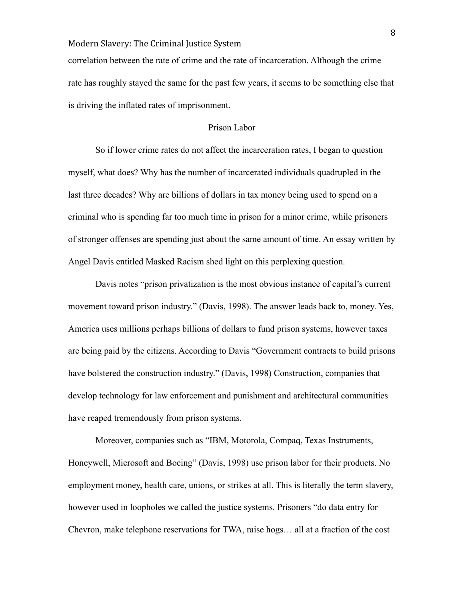correlation between the rate of crime and the rate of incarceration. Although the crime rate has roughly stayed the same for the past few years, it seems to be something else that is driving the inflated rates of imprisonment.

#### Prison Labor

So if lower crime rates do not affect the incarceration rates, I began to question myself, what does? Why has the number of incarcerated individuals quadrupled in the last three decades? Why are billions of dollars in tax money being used to spend on a criminal who is spending far too much time in prison for a minor crime, while prisoners of stronger offenses are spending just about the same amount of time. An essay written by Angel Davis entitled Masked Racism shed light on this perplexing question.

Davis notes "prison privatization is the most obvious instance of capital's current movement toward prison industry." (Davis, 1998). The answer leads back to, money. Yes, America uses millions perhaps billions of dollars to fund prison systems, however taxes are being paid by the citizens. According to Davis "Government contracts to build prisons have bolstered the construction industry." (Davis, 1998) Construction, companies that develop technology for law enforcement and punishment and architectural communities have reaped tremendously from prison systems.

Moreover, companies such as "IBM, Motorola, Compaq, Texas Instruments, Honeywell, Microsoft and Boeing" (Davis, 1998) use prison labor for their products. No employment money, health care, unions, or strikes at all. This is literally the term slavery, however used in loopholes we called the justice systems. Prisoners "do data entry for Chevron, make telephone reservations for TWA, raise hogs… all at a fraction of the cost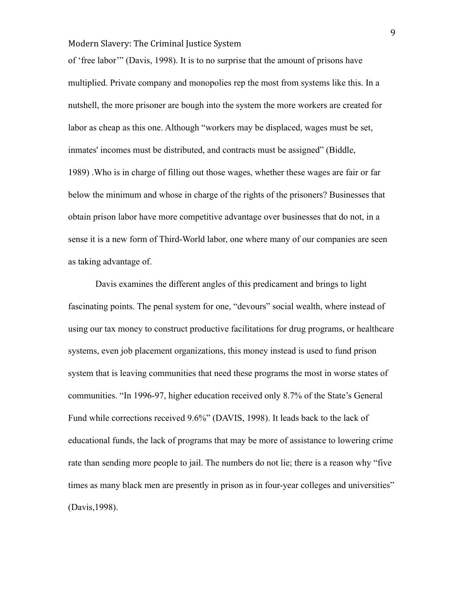of 'free labor'" (Davis, 1998). It is to no surprise that the amount of prisons have multiplied. Private company and monopolies rep the most from systems like this. In a nutshell, the more prisoner are bough into the system the more workers are created for labor as cheap as this one. Although "workers may be displaced, wages must be set, inmates' incomes must be distributed, and contracts must be assigned" (Biddle, 1989) .Who is in charge of filling out those wages, whether these wages are fair or far below the minimum and whose in charge of the rights of the prisoners? Businesses that obtain prison labor have more competitive advantage over businesses that do not, in a sense it is a new form of Third-World labor, one where many of our companies are seen as taking advantage of.

Davis examines the different angles of this predicament and brings to light fascinating points. The penal system for one, "devours" social wealth, where instead of using our tax money to construct productive facilitations for drug programs, or healthcare systems, even job placement organizations, this money instead is used to fund prison system that is leaving communities that need these programs the most in worse states of communities. "In 1996-97, higher education received only 8.7% of the State's General Fund while corrections received 9.6%" (DAVIS, 1998). It leads back to the lack of educational funds, the lack of programs that may be more of assistance to lowering crime rate than sending more people to jail. The numbers do not lie; there is a reason why "five times as many black men are presently in prison as in four-year colleges and universities" (Davis,1998).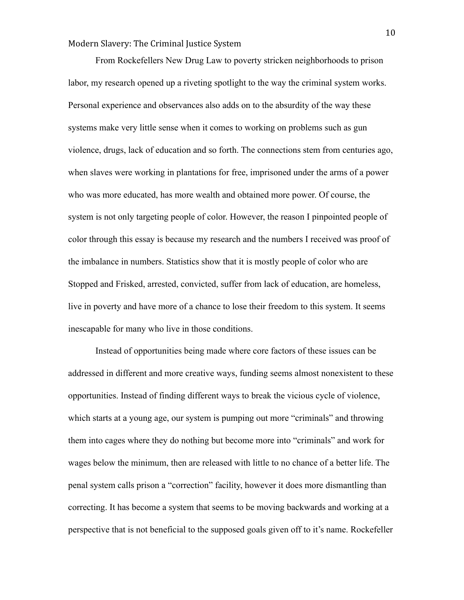From Rockefellers New Drug Law to poverty stricken neighborhoods to prison labor, my research opened up a riveting spotlight to the way the criminal system works. Personal experience and observances also adds on to the absurdity of the way these systems make very little sense when it comes to working on problems such as gun violence, drugs, lack of education and so forth. The connections stem from centuries ago, when slaves were working in plantations for free, imprisoned under the arms of a power who was more educated, has more wealth and obtained more power. Of course, the system is not only targeting people of color. However, the reason I pinpointed people of color through this essay is because my research and the numbers I received was proof of the imbalance in numbers. Statistics show that it is mostly people of color who are Stopped and Frisked, arrested, convicted, suffer from lack of education, are homeless, live in poverty and have more of a chance to lose their freedom to this system. It seems inescapable for many who live in those conditions.

Instead of opportunities being made where core factors of these issues can be addressed in different and more creative ways, funding seems almost nonexistent to these opportunities. Instead of finding different ways to break the vicious cycle of violence, which starts at a young age, our system is pumping out more "criminals" and throwing them into cages where they do nothing but become more into "criminals" and work for wages below the minimum, then are released with little to no chance of a better life. The penal system calls prison a "correction" facility, however it does more dismantling than correcting. It has become a system that seems to be moving backwards and working at a perspective that is not beneficial to the supposed goals given off to it's name. Rockefeller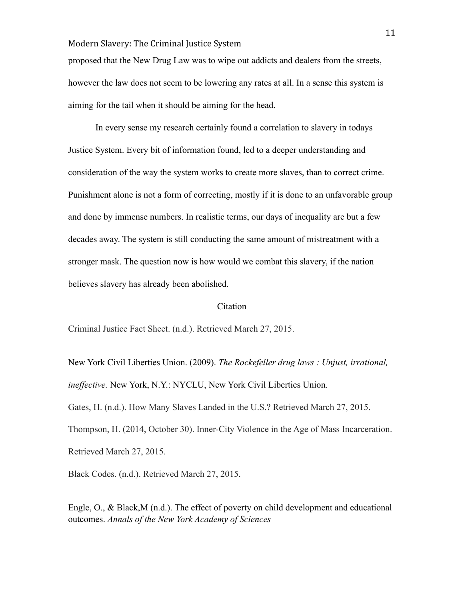proposed that the New Drug Law was to wipe out addicts and dealers from the streets, however the law does not seem to be lowering any rates at all. In a sense this system is aiming for the tail when it should be aiming for the head.

In every sense my research certainly found a correlation to slavery in todays Justice System. Every bit of information found, led to a deeper understanding and consideration of the way the system works to create more slaves, than to correct crime. Punishment alone is not a form of correcting, mostly if it is done to an unfavorable group and done by immense numbers. In realistic terms, our days of inequality are but a few decades away. The system is still conducting the same amount of mistreatment with a stronger mask. The question now is how would we combat this slavery, if the nation believes slavery has already been abolished.

### Citation

Criminal Justice Fact Sheet. (n.d.). Retrieved March 27, 2015.

New York Civil Liberties Union. (2009). *The Rockefeller drug laws : Unjust, irrational, ineffective.* New York, N.Y.: NYCLU, New York Civil Liberties Union. Gates, H. (n.d.). How Many Slaves Landed in the U.S.? Retrieved March 27, 2015. Thompson, H. (2014, October 30). Inner-City Violence in the Age of Mass Incarceration. Retrieved March 27, 2015.

Black Codes. (n.d.). Retrieved March 27, 2015.

Engle, O., & Black,M (n.d.). The effect of poverty on child development and educational outcomes. *Annals of the New York Academy of Sciences*